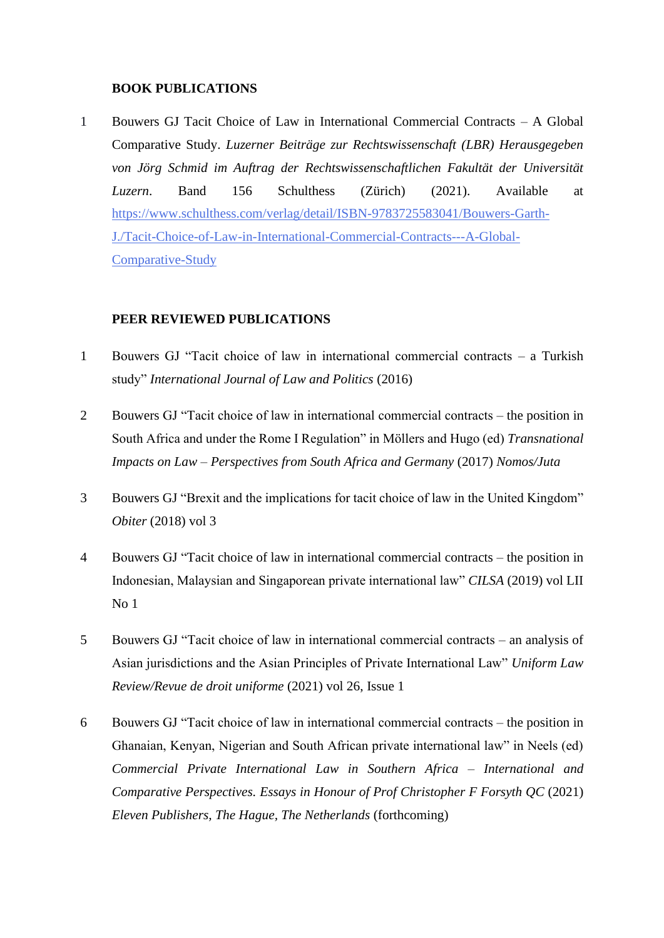## **BOOK PUBLICATIONS**

1 Bouwers GJ Tacit Choice of Law in International Commercial Contracts – A Global Comparative Study. *Luzerner Beiträge zur Rechtswissenschaft (LBR) Herausgegeben von Jörg Schmid im Auftrag der Rechtswissenschaftlichen Fakultät der Universität Luzern*. Band 156 Schulthess (Zürich) (2021). Available at [https://www.schulthess.com/verlag/detail/ISBN-9783725583041/Bouwers-Garth-](https://eur01.safelinks.protection.outlook.com/?url=https%3A%2F%2Fwww.schulthess.com%2Fverlag%2Fdetail%2FISBN-9783725583041%2FBouwers-Garth-J.%2FTacit-Choice-of-Law-in-International-Commercial-Contracts---A-Global-Comparative-Study&data=04%7C01%7Cgbouwers%40uj.ac.za%7C2f13ff2083474020f29e08d96d4165aa%7Cfa785acd36ef41bc8a9489841327e045%7C1%7C0%7C637660949914885983%7CUnknown%7CTWFpbGZsb3d8eyJWIjoiMC4wLjAwMDAiLCJQIjoiV2luMzIiLCJBTiI6Ik1haWwiLCJXVCI6Mn0%3D%7C1000&sdata=ca6oLCilsOKUoR%2BXHKu6DfjmIoBIl%2F28PM%2FWr98%2Bhkk%3D&reserved=0)[J./Tacit-Choice-of-Law-in-International-Commercial-Contracts---A-Global-](https://eur01.safelinks.protection.outlook.com/?url=https%3A%2F%2Fwww.schulthess.com%2Fverlag%2Fdetail%2FISBN-9783725583041%2FBouwers-Garth-J.%2FTacit-Choice-of-Law-in-International-Commercial-Contracts---A-Global-Comparative-Study&data=04%7C01%7Cgbouwers%40uj.ac.za%7C2f13ff2083474020f29e08d96d4165aa%7Cfa785acd36ef41bc8a9489841327e045%7C1%7C0%7C637660949914885983%7CUnknown%7CTWFpbGZsb3d8eyJWIjoiMC4wLjAwMDAiLCJQIjoiV2luMzIiLCJBTiI6Ik1haWwiLCJXVCI6Mn0%3D%7C1000&sdata=ca6oLCilsOKUoR%2BXHKu6DfjmIoBIl%2F28PM%2FWr98%2Bhkk%3D&reserved=0)[Comparative-Study](https://eur01.safelinks.protection.outlook.com/?url=https%3A%2F%2Fwww.schulthess.com%2Fverlag%2Fdetail%2FISBN-9783725583041%2FBouwers-Garth-J.%2FTacit-Choice-of-Law-in-International-Commercial-Contracts---A-Global-Comparative-Study&data=04%7C01%7Cgbouwers%40uj.ac.za%7C2f13ff2083474020f29e08d96d4165aa%7Cfa785acd36ef41bc8a9489841327e045%7C1%7C0%7C637660949914885983%7CUnknown%7CTWFpbGZsb3d8eyJWIjoiMC4wLjAwMDAiLCJQIjoiV2luMzIiLCJBTiI6Ik1haWwiLCJXVCI6Mn0%3D%7C1000&sdata=ca6oLCilsOKUoR%2BXHKu6DfjmIoBIl%2F28PM%2FWr98%2Bhkk%3D&reserved=0)

## **PEER REVIEWED PUBLICATIONS**

- 1 Bouwers GJ "Tacit choice of law in international commercial contracts a Turkish study" *International Journal of Law and Politics* (2016)
- 2 Bouwers GJ "Tacit choice of law in international commercial contracts the position in South Africa and under the Rome I Regulation" in Möllers and Hugo (ed) *Transnational Impacts on Law – Perspectives from South Africa and Germany* (2017) *Nomos/Juta*
- 3 Bouwers GJ "Brexit and the implications for tacit choice of law in the United Kingdom" *Obiter* (2018) vol 3
- 4 Bouwers GJ "Tacit choice of law in international commercial contracts the position in Indonesian, Malaysian and Singaporean private international law" *CILSA* (2019) vol LII No 1
- 5 Bouwers GJ "Tacit choice of law in international commercial contracts an analysis of Asian jurisdictions and the Asian Principles of Private International Law" *Uniform Law Review/Revue de droit uniforme* (2021) vol 26, Issue 1
- 6 Bouwers GJ "Tacit choice of law in international commercial contracts the position in Ghanaian, Kenyan, Nigerian and South African private international law" in Neels (ed) *Commercial Private International Law in Southern Africa – International and Comparative Perspectives. Essays in Honour of Prof Christopher F Forsyth QC* (2021) *Eleven Publishers, The Hague, The Netherlands* (forthcoming)